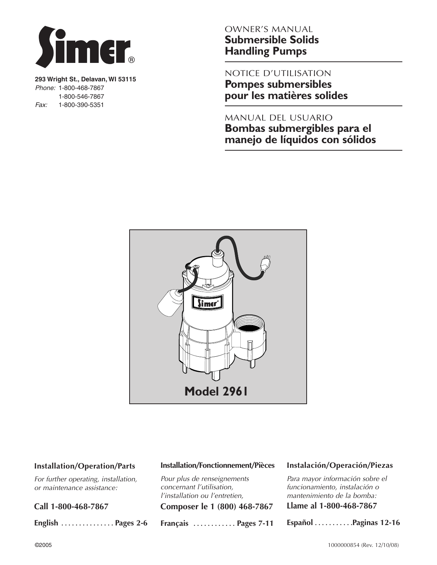

**293 Wright St., Delavan, WI 53115** Phone: 1-800-468-7867 1-800-546-7867 Fax: 1-800-390-5351

# OWNER'S MANUAL **Submersible Solids Handling Pumps**

NOTICE D'UTILISATION **Pompes submersibles pour les matières solides**

# MANUAL DEL USUARIO **Bombas submergibles para el manejo de líquidos con sólidos**



### **Installation/Operation/Parts**

For further operating, installation, or maintenance assistance:

**Call 1-800-468-7867**

**English . . . . . . . . . . . . . . . Pages 2-6**

### **Installation/Fonctionnement/Pièces**

Pour plus de renseignements concernant l'utilisation, l'installation ou l'entretien,

**Composer le 1 (800) 468-7867**

**Français . . . . . . . . . . . . Pages 7-11**

### **Instalación/Operación/Piezas**

Para mayor información sobre el funcionamiento, instalación o mantenimiento de la bomba:

**Llame al 1-800-468-7867**

**Español . . . . . . . . . . .Paginas 12-16**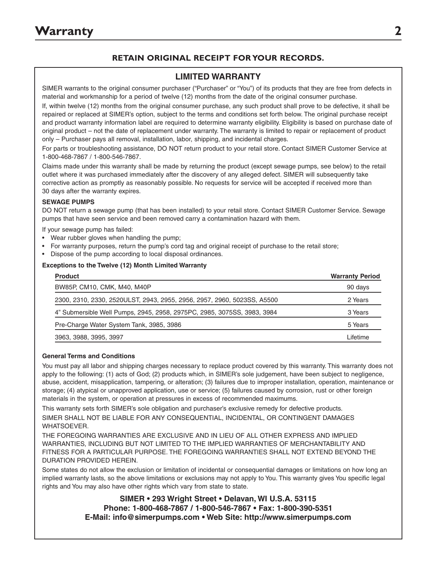## **RETAIN ORIGINAL RECEIPT FOR YOUR RECORDS.**

### **LIMITED WARRANTY**

SIMER warrants to the original consumer purchaser ("Purchaser" or "You") of its products that they are free from defects in material and workmanship for a period of twelve (12) months from the date of the original consumer purchase.

If, within twelve (12) months from the original consumer purchase, any such product shall prove to be defective, it shall be repaired or replaced at SIMER's option, subject to the terms and conditions set forth below. The original purchase receipt and product warranty information label are required to determine warranty eligibility. Eligibility is based on purchase date of original product – not the date of replacement under warranty. The warranty is limited to repair or replacement of product only – Purchaser pays all removal, installation, labor, shipping, and incidental charges.

For parts or troubleshooting assistance, DO NOT return product to your retail store. Contact SIMER Customer Service at 1-800-468-7867 / 1-800-546-7867.

Claims made under this warranty shall be made by returning the product (except sewage pumps, see below) to the retail outlet where it was purchased immediately after the discovery of any alleged defect. SIMER will subsequently take corrective action as promptly as reasonably possible. No requests for service will be accepted if received more than 30 days after the warranty expires.

### **SEWAGE PUMPS**

DO NOT return a sewage pump (that has been installed) to your retail store. Contact SIMER Customer Service. Sewage pumps that have seen service and been removed carry a contamination hazard with them.

If your sewage pump has failed:

- Wear rubber gloves when handling the pump;
- For warranty purposes, return the pump's cord tag and original receipt of purchase to the retail store;
- Dispose of the pump according to local disposal ordinances.

### **Exceptions to the Twelve (12) Month Limited Warranty**

| <b>Product</b>                                                          | <b>Warranty Period</b> |
|-------------------------------------------------------------------------|------------------------|
| BW85P, CM10, CMK, M40, M40P                                             | 90 days                |
| 2300, 2310, 2330, 2520ULST, 2943, 2955, 2956, 2957, 2960, 5023SS, A5500 | 2 Years                |
| 4" Submersible Well Pumps, 2945, 2958, 2975PC, 2985, 3075SS, 3983, 3984 | 3 Years                |
| Pre-Charge Water System Tank, 3985, 3986                                | 5 Years                |
| 3963, 3988, 3995, 3997                                                  | Lifetime               |

### **General Terms and Conditions**

You must pay all labor and shipping charges necessary to replace product covered by this warranty. This warranty does not apply to the following: (1) acts of God; (2) products which, in SIMER's sole judgement, have been subject to negligence, abuse, accident, misapplication, tampering, or alteration; (3) failures due to improper installation, operation, maintenance or storage; (4) atypical or unapproved application, use or service; (5) failures caused by corrosion, rust or other foreign materials in the system, or operation at pressures in excess of recommended maximums.

This warranty sets forth SIMER's sole obligation and purchaser's exclusive remedy for defective products. SIMER SHALL NOT BE LIABLE FOR ANY CONSEQUENTIAL, INCIDENTAL, OR CONTINGENT DAMAGES WHATSOEVER.

THE FOREGOING WARRANTIES ARE EXCLUSIVE AND IN LIEU OF ALL OTHER EXPRESS AND IMPLIED WARRANTIES, INCLUDING BUT NOT LIMITED TO THE IMPLIED WARRANTIES OF MERCHANTABILITY AND FITNESS FOR A PARTICULAR PURPOSE. THE FOREGOING WARRANTIES SHALL NOT EXTEND BEYOND THE DURATION PROVIDED HEREIN.

Some states do not allow the exclusion or limitation of incidental or consequential damages or limitations on how long an implied warranty lasts, so the above limitations or exclusions may not apply to You. This warranty gives You specific legal rights and You may also have other rights which vary from state to state.

> **SIMER • 293 Wright Street • Delavan, WI U.S.A. 53115 Phone: 1-800-468-7867 / 1-800-546-7867 • Fax: 1-800-390-5351 E-Mail: info@simerpumps.com • Web Site: http://www.simerpumps.com**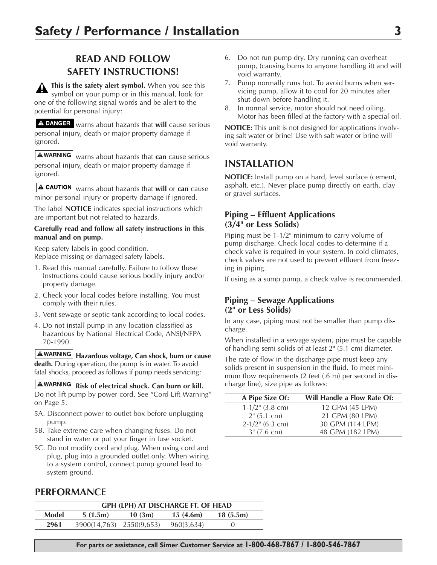# **READ AND FOLLOW SAFETY INSTRUCTIONS!**

**This is the safety alert symbol.** When you see this symbol on your pump or in this manual, look for one of the following signal words and be alert to the potential for personal injury:

A DANGER warns about hazards that will cause serious personal injury, death or major property damage if ignored.

**A**WARNING warns about hazards that can cause serious personal injury, death or major property damage if ignored.

**A CAUTION** warns about hazards that will or can cause minor personal injury or property damage if ignored.

The label **NOTICE** indicates special instructions which are important but not related to hazards.

### **Carefully read and follow all safety instructions in this manual and on pump.**

Keep safety labels in good condition. Replace missing or damaged safety labels.

- 1. Read this manual carefully. Failure to follow these Instructions could cause serious bodily injury and/or property damage.
- 2. Check your local codes before installing. You must comply with their rules.
- 3. Vent sewage or septic tank according to local codes.
- 4. Do not install pump in any location classified as hazardous by National Electrical Code, ANSI/NFPA 70-1990.

**Hazardous voltage, Can shock, burn or cause death.** During operation, the pump is in water. To avoid fatal shocks, proceed as follows if pump needs servicing:

### **A**WARNING Risk of electrical shock. Can burn or kill.

Do not lift pump by power cord. See "Cord Lift Warning" on Page 5.

- 5A. Disconnect power to outlet box before unplugging pump.
- 5B. Take extreme care when changing fuses. Do not stand in water or put your finger in fuse socket.
- 5C. Do not modify cord and plug. When using cord and plug, plug into a grounded outlet only. When wiring to a system control, connect pump ground lead to system ground.

# **PERFORMANCE**

| <b>GPH (LPH) AT DISCHARGE FT. OF HEAD</b> |                          |        |            |          |
|-------------------------------------------|--------------------------|--------|------------|----------|
| Model                                     | 5(1.5m)                  | 10(3m) | 15(4.6m)   | 18(5.5m) |
| 2961                                      | 3900(14,763) 2550(9,653) |        | 960(3,634) | $\cup$   |

- 6. Do not run pump dry. Dry running can overheat pump, (causing burns to anyone handling it) and will void warranty.
- 7. Pump normally runs hot. To avoid burns when servicing pump, allow it to cool for 20 minutes after shut-down before handling it.
- 8. In normal service, motor should not need oiling. Motor has been filled at the factory with a special oil.

**NOTICE:** This unit is not designed for applications involving salt water or brine! Use with salt water or brine will void warranty.

# **INSTALLATION**

**NOTICE:** Install pump on a hard, level surface (cement, asphalt, etc.). Never place pump directly on earth, clay or gravel surfaces.

### **Piping – Effluent Applications (3/4" or Less Solids)**

Piping must be 1-1/2" minimum to carry volume of pump discharge. Check local codes to determine if a check valve is required in your system. In cold climates, check valves are not used to prevent effluent from freezing in piping.

If using as a sump pump, a check valve is recommended.

### **Piping – Sewage Applications (2" or Less Solids)**

In any case, piping must not be smaller than pump discharge.

When installed in a sewage system, pipe must be capable of handling semi-solids of at least 2" (5.1 cm) diameter.

The rate of flow in the discharge pipe must keep any solids present in suspension in the fluid. To meet minimum flow requirements (2 feet (.6 m) per second in discharge line), size pipe as follows:

| A Pipe Size Of:               | Will Handle a Flow Rate Of: |
|-------------------------------|-----------------------------|
| $1-1/2$ <sup>"</sup> (3.8 cm) | 12 GPM (45 LPM)             |
| $2^{\prime\prime}$ (5.1 cm)   | 21 GPM (80 LPM)             |
| $2-1/2$ <sup>"</sup> (6.3 cm) | 30 GPM (114 LPM)            |
| $3''$ (7.6 cm)                | 48 GPM (182 LPM)            |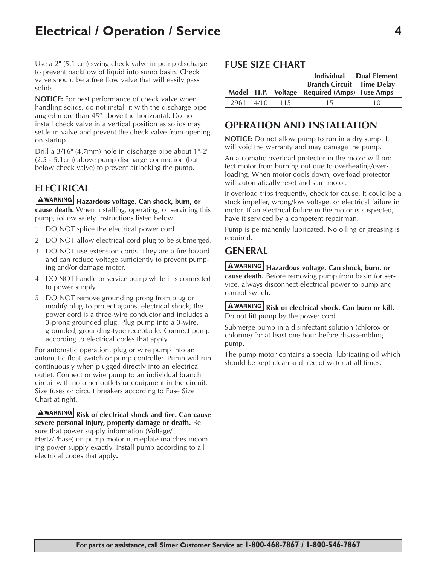Use a 2" (5.1 cm) swing check valve in pump discharge to prevent backflow of liquid into sump basin. Check valve should be a free flow valve that will easily pass solids.

**NOTICE:** For best performance of check valve when handling solids, do not install it with the discharge pipe angled more than 45° above the horizontal. Do not install check valve in a vertical position as solids may settle in valve and prevent the check valve from opening on startup.

Drill a 3/16" (4.7mm) hole in discharge pipe about 1"-2" (2.5 - 5.1cm) above pump discharge connection (but below check valve) to prevent airlocking the pump.

# **ELECTRICAL**

### **Hazardous voltage. Can shock, burn, or**

**cause death.** When installing, operating, or servicing this pump, follow safety instructions listed below.

- 1. DO NOT splice the electrical power cord.
- 2. DO NOT allow electrical cord plug to be submerged.
- 3. DO NOT use extension cords. They are a fire hazard and can reduce voltage sufficiently to prevent pumping and/or damage motor.
- 4. DO NOT handle or service pump while it is connected to power supply.
- 5. DO NOT remove grounding prong from plug or modify plug.To protect against electrical shock, the power cord is a three-wire conductor and includes a 3-prong grounded plug. Plug pump into a 3-wire, grounded, grounding-type receptacle. Connect pump according to electrical codes that apply.

For automatic operation, plug or wire pump into an automatic float switch or pump controller. Pump will run continuously when plugged directly into an electrical outlet. Connect or wire pump to an individual branch circuit with no other outlets or equipment in the circuit. Size fuses or circuit breakers according to Fuse Size Chart at right.

**Risk of electrical shock and fire. Can cause severe personal injury, property damage or death.** Be sure that power supply information (Voltage/ Hertz/Phase) on pump motor nameplate matches incoming power supply exactly. Install pump according to all electrical codes that apply**.**

### **FUSE SIZE CHART**

|  |               | <b>Branch Circuit Time Delay</b>             | Individual Dual Element |
|--|---------------|----------------------------------------------|-------------------------|
|  |               | Model H.P. Voltage Required (Amps) Fuse Amps |                         |
|  | 2961 4/10 115 | 15.                                          | 10                      |

## **OPERATION AND INSTALLATION**

**NOTICE:** Do not allow pump to run in a dry sump. It will void the warranty and may damage the pump.

An automatic overload protector in the motor will protect motor from burning out due to overheating/overloading. When motor cools down, overload protector will automatically reset and start motor.

If overload trips frequently, check for cause. It could be a stuck impeller, wrong/low voltage, or electrical failure in motor. If an electrical failure in the motor is suspected, have it serviced by a competent repairman.

Pump is permanently lubricated. No oiling or greasing is required.

# **GENERAL**

# **Hazardous voltage. Can shock, burn, or**

**cause death.** Before removing pump from basin for service, always disconnect electrical power to pump and control switch.

### **A**WARNING Risk of electrical shock. Can burn or kill. Do not lift pump by the power cord.

Submerge pump in a disinfectant solution (chlorox or chlorine) for at least one hour before disassembling pump.

The pump motor contains a special lubricating oil which should be kept clean and free of water at all times.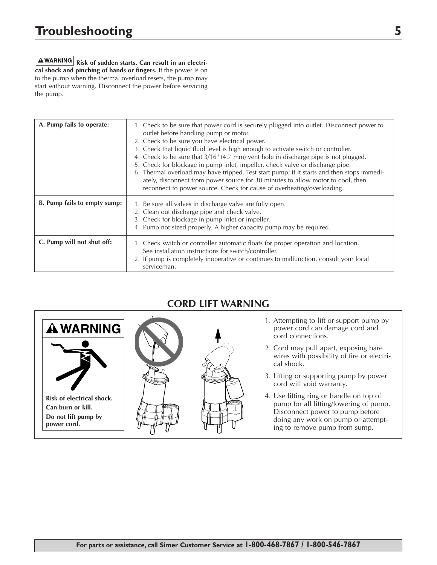### **AWARNING** Risk of sudden starts. Can result in an electri**cal shock and pinching of hands or fingers.** If the power is on to the pump when the thermal overload resets, the pump may start without warning. Disconnect the power before servicing the pump.

| A. Pump fails to operate:    | 1. Check to be sure that power cord is securely plugged into outlet. Disconnect power to<br>outlet before handling pump or motor.<br>2. Check to be sure you have electrical power.<br>3. Check that liquid fluid level is high enough to activate switch or controller.<br>4. Check to be sure that $3/16$ " (4.7 mm) vent hole in discharge pipe is not plugged.<br>5. Check for blockage in pump inlet, impeller, check valve or discharge pipe.<br>6. Thermal overload may have tripped. Test start pump; if it starts and then stops immedi-<br>ately, disconnect from power source for 30 minutes to allow motor to cool, then<br>reconnect to power source. Check for cause of overheating/overloading. |
|------------------------------|----------------------------------------------------------------------------------------------------------------------------------------------------------------------------------------------------------------------------------------------------------------------------------------------------------------------------------------------------------------------------------------------------------------------------------------------------------------------------------------------------------------------------------------------------------------------------------------------------------------------------------------------------------------------------------------------------------------|
| B. Pump fails to empty sump: | 1. Be sure all valves in discharge valve are fully open.<br>2. Clean out discharge pipe and check valve.<br>3. Check for blockage in pump inlet or impeller.<br>4. Pump not sized properly. A higher capacity pump may be required.                                                                                                                                                                                                                                                                                                                                                                                                                                                                            |
| C. Pump will not shut off:   | 1. Check switch or controller automatic floats for proper operation and location.<br>See installation instructions for switch/controller.<br>2. If pump is completely inoperative or continues to malfunction, consult your local<br>serviceman.                                                                                                                                                                                                                                                                                                                                                                                                                                                               |

# **CORD LIFT WARNING**





- 1. Attempting to lift or support pump by power cord can damage cord and cord connections.
- 2. Cord may pull apart, exposing bare wires with possibility of fire or electrical shock.
- 3. Lifting or supporting pump by power cord will void warranty.
- 4. Use lifting ring or handle on top of pump for all lifting/lowering of pump. Disconnect power to pump before doing any work on pump or attempting to remove pump from sump.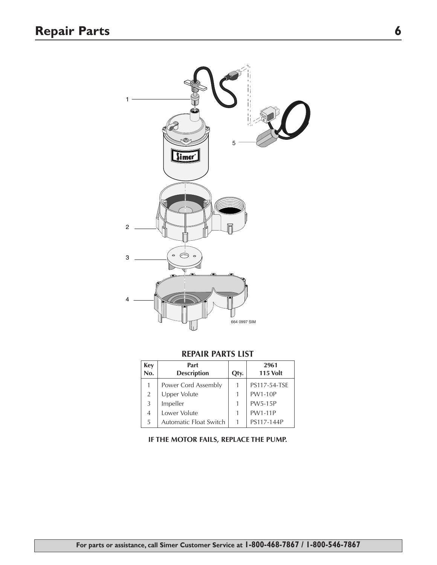

### **REPAIR PARTS LIST**

| Key | Part                   |      | 2961            |
|-----|------------------------|------|-----------------|
| No. | <b>Description</b>     | Qty. | <b>115 Volt</b> |
| 1   | Power Cord Assembly    |      | PS117-54-TSE    |
| 2   | Upper Volute           |      | <b>PW1-10P</b>  |
| 3   | Impeller               |      | <b>PW5-15P</b>  |
| 4   | Lower Volute           |      | <b>PW1-11P</b>  |
| 5   | Automatic Float Switch |      | PS117-144P      |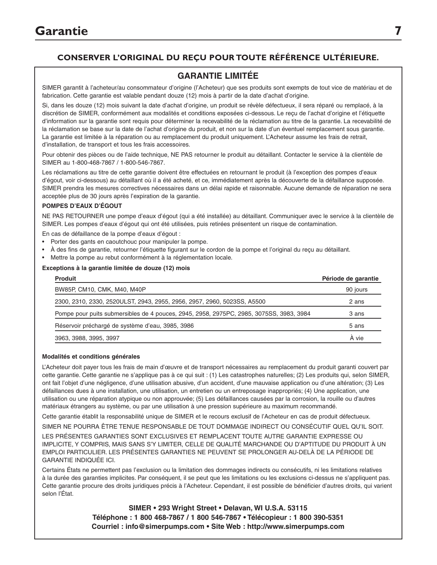### **CONSERVER L'ORIGINAL DU REÇU POUR TOUTE RÉFÉRENCE ULTÉRIEURE.**

### **GARANTIE LIMITÉE**

SIMER garantit à l'acheteur/au consommateur d'origine (l'Acheteur) que ses produits sont exempts de tout vice de matériau et de fabrication. Cette garantie est valable pendant douze (12) mois à partir de la date d'achat d'origine.

Si, dans les douze (12) mois suivant la date d'achat d'origine, un produit se révèle défectueux, il sera réparé ou remplacé, à la discrétion de SIMER, conformément aux modalités et conditions exposées ci-dessous. Le reçu de l'achat d'origine et l'étiquette d'information sur la garantie sont requis pour déterminer la recevabilité de la réclamation au titre de la garantie. La recevabilité de la réclamation se base sur la date de l'achat d'origine du produit, et non sur la date d'un éventuel remplacement sous garantie. La garantie est limitée à la réparation ou au remplacement du produit uniquement. L'Acheteur assume les frais de retrait, d'installation, de transport et tous les frais accessoires.

Pour obtenir des pièces ou de l'aide technique, NE PAS retourner le produit au détaillant. Contacter le service à la clientèle de SIMER au 1-800-468-7867 / 1-800-546-7867.

Les réclamations au titre de cette garantie doivent être effectuées en retournant le produit (à l'exception des pompes d'eaux d'égout, voir ci-dessous) au détaillant où il a été acheté, et ce, immédiatement après la découverte de la défaillance supposée. SIMER prendra les mesures correctives nécessaires dans un délai rapide et raisonnable. Aucune demande de réparation ne sera acceptée plus de 30 jours après l'expiration de la garantie.

### **POMPES D'EAUX D'ÉGOUT**

NE PAS RETOURNER une pompe d'eaux d'égout (qui a été installée) au détaillant. Communiquer avec le service à la clientèle de SIMER. Les pompes d'eaux d'égout qui ont été utilisées, puis retirées présentent un risque de contamination.

En cas de défaillance de la pompe d'eaux d'égout :

- Porter des gants en caoutchouc pour manipuler la pompe.
- À des fins de garantie, retourner l'étiquette figurant sur le cordon de la pompe et l'original du reçu au détaillant.
- Mettre la pompe au rebut conformément à la réglementation locale.

#### **Exceptions à la garantie limitée de douze (12) mois**

| <b>Produit</b>                                                                          | Période de garantie |
|-----------------------------------------------------------------------------------------|---------------------|
| BW85P, CM10, CMK, M40, M40P                                                             | 90 jours            |
| 2300, 2310, 2330, 2520ULST, 2943, 2955, 2956, 2957, 2960, 5023SS, A5500                 | 2 ans               |
| Pompe pour puits submersibles de 4 pouces, 2945, 2958, 2975PC, 2985, 3075SS, 3983, 3984 | 3 ans               |
| Réservoir préchargé de système d'eau, 3985, 3986                                        | 5 ans               |
| 3963, 3988, 3995, 3997                                                                  | À vie               |

### **Modalités et conditions générales**

L'Acheteur doit payer tous les frais de main d'œuvre et de transport nécessaires au remplacement du produit garanti couvert par cette garantie. Cette garantie ne s'applique pas à ce qui suit : (1) Les catastrophes naturelles; (2) Les produits qui, selon SIMER, ont fait l'objet d'une négligence, d'une utilisation abusive, d'un accident, d'une mauvaise application ou d'une altération; (3) Les défaillances dues à une installation, une utilisation, un entretien ou un entreposage inappropriés; (4) Une application, une utilisation ou une réparation atypique ou non approuvée; (5) Les défaillances causées par la corrosion, la rouille ou d'autres matériaux étrangers au système, ou par une utilisation à une pression supérieure au maximum recommandé.

Cette garantie établit la responsabilité unique de SIMER et le recours exclusif de l'Acheteur en cas de produit défectueux.

SIMER NE POURRA ÊTRE TENUE RESPONSABLE DE TOUT DOMMAGE INDIRECT OU CONSÉCUTIF QUEL QU'IL SOIT.

LES PRÉSENTES GARANTIES SONT EXCLUSIVES ET REMPLACENT TOUTE AUTRE GARANTIE EXPRESSE OU IMPLICITE, Y COMPRIS, MAIS SANS S'Y LIMITER, CELLE DE QUALITÉ MARCHANDE OU D'APTITUDE DU PRODUIT À UN EMPLOI PARTICULIER. LES PRÉSENTES GARANTIES NE PEUVENT SE PROLONGER AU-DELÀ DE LA PÉRIODE DE GARANTIE INDIQUÉE ICI.

Certains États ne permettent pas l'exclusion ou la limitation des dommages indirects ou consécutifs, ni les limitations relatives à la durée des garanties implicites. Par conséquent, il se peut que les limitations ou les exclusions ci-dessus ne s'appliquent pas. Cette garantie procure des droits juridiques précis à l'Acheteur. Cependant, il est possible de bénéficier d'autres droits, qui varient selon l'État.

> **SIMER • 293 Wright Street • Delavan, WI U.S.A. 53115 Téléphone : 1 800 468-7867 / 1 800 546-7867 • Télécopieur : 1 800 390-5351 Courriel : info@simerpumps.com • Site Web : http://www.simerpumps.com**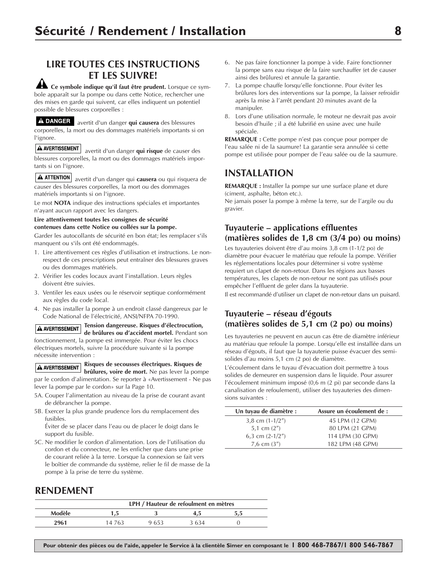# **LIRE TOUTES CES INSTRUCTIONS ET LES SUIVRE!**

**Ce symbole indique qu'il faut être prudent.** Lorsque ce symbole apparaît sur la pompe ou dans cette Notice, rechercher une des mises en garde qui suivent, car elles indiquent un potentiel possible de blessures corporelles :

avertit d'un danger **qui causera** des blessures corporelles, la mort ou des dommages matériels importants si on l'ignore.

### A AVERTISSEMENT

avertit d'un danger **qui risque** de causer des blessures corporelles, la mort ou des dommages matériels importants si on l'ignore.

**A ATTENTION** avertit d'un danger qui **causera** ou qui risquera de causer des blessures corporelles, la mort ou des dommages matériels importants si on l'ignore.

Le mot **NOTA** indique des instructions spéciales et importantes n'ayant aucun rapport avec les dangers.

#### **Lire attentivement toutes les consignes de sécurité contenues dans cette Notice ou collées sur la pompe.**

Garder les autocollants de sécurité en bon état; les remplacer s'ils manquent ou s'ils ont été endommagés.

- 1. Lire attentivement ces règles d'utilisation et instructions. Le nonrespect de ces prescriptions peut entraîner des blessures graves ou des dommages matériels.
- 2. Vérifier les codes locaux avant l'installation. Leurs règles doivent être suivies.
- 3. Ventiler les eaux usées ou le réservoir septique conformément aux règles du code local.
- 4. Ne pas installer la pompe à un endroit classé dangereux par le Code National de l'électricité, ANSI/NFPA 70-1990.

**Tension dangereuse. Risques d'électrocution, A AVERTISSEMENT de brûlures ou d'accident mortel.** Pendant son fonctionnement, la pompe est immergée. Pour éviter les chocs électriques mortels, suivre la procédure suivante si la pompe

A AVERTISSEMENT

nécessite intervention :

**Risques de secousses électriques. Risques de brûlures, voire de mort.** Ne pas lever la pompe

par le cordon d'alimentation. Se reporter à «Avertissement - Ne pas lever la pompe par le cordon» sur la Page 10.

5A. Couper l'alimentation au niveau de la prise de courant avant de débrancher la pompe.

5B. Exercer la plus grande prudence lors du remplacement des fusibles.

Éviter de se placer dans l'eau ou de placer le doigt dans le support du fusible.

5C. Ne modifier le cordon d'alimentation. Lors de l'utilisation du cordon et du connecteur, ne les enficher que dans une prise de courant reliée à la terre. Lorsque la connexion se fait vers le boîtier de commande du système, relier le fil de masse de la pompe à la prise de terre du système.

- 6. Ne pas faire fonctionner la pompe à vide. Faire fonctionner la pompe sans eau risque de la faire surchauffer (et de causer ainsi des brûlures) et annule la garantie.
- 7. La pompe chauffe lorsqu'elle fonctionne. Pour éviter les brûlures lors des interventions sur la pompe, la laisser refroidir après la mise à l'arrêt pendant 20 minutes avant de la manipuler.
- 8. Lors d'une utilisation normale, le moteur ne devrait pas avoir besoin d'huile ; il a été lubrifié en usine avec une huile spéciale.

**REMARQUE :** Cette pompe n'est pas conçue pour pomper de l'eau salée ni de la saumure! La garantie sera annulée si cette pompe est utilisée pour pomper de l'eau salée ou de la saumure.

# **INSTALLATION**

**REMARQUE :** Installer la pompe sur une surface plane et dure (ciment, asphalte, béton etc.).

Ne jamais poser la pompe à même la terre, sur de l'argile ou du gravier.

### **Tuyauterie – applications effluentes (matières solides de 1,8 cm (3/4 po) ou moins)**

Les tuyauteries doivent être d'au moins 3,8 cm (1-1/2 po) de diamètre pour évacuer le matériau que refoule la pompe. Vérifier les réglementations locales pour déterminer si votre système requiert un clapet de non-retour. Dans les régions aux basses températures, les clapets de non-retour ne sont pas utilisés pour empêcher l'effluent de geler dans la tuyauterie.

Il est recommandé d'utiliser un clapet de non-retour dans un puisard.

### **Tuyauterie – réseau d'égouts (matières solides de 5,1 cm (2 po) ou moins)**

Les tuyauteries ne peuvent en aucun cas être de diamètre inférieur au matériau que refoule la pompe. Lorsqu'elle est installée dans un réseau d'égouts, il faut que la tuyauterie puisse évacuer des semisolides d'au moins 5,1 cm (2 po) de diamètre.

L'écoulement dans le tuyau d'évacuation doit permettre à tous solides de demeurer en suspension dans le liquide. Pour assurer l'écoulement minimum imposé (0,6 m (2 pi) par seconde dans la canalisation de refoulement), utiliser des tuyauteries des dimensions suivantes :

| Assure un écoulement de : |
|---------------------------|
| 45 LPM (12 GPM)           |
| 80 LPM (21 GPM)           |
| 114 LPM (30 GPM)          |
| 182 LPM (48 GPM)          |
|                           |

### **RENDEMENT**

|        | LPH / Hauteur de refoulment en mètres |      |       |  |  |
|--------|---------------------------------------|------|-------|--|--|
| Modèle |                                       |      |       |  |  |
| 2961   | 14 763                                | 9653 | 3.634 |  |  |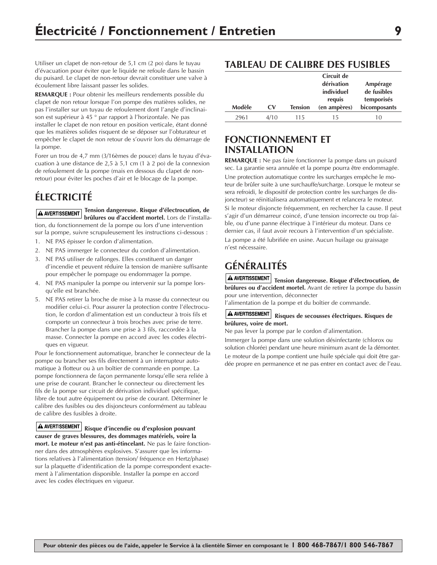Utiliser un clapet de non-retour de 5,1 cm (2 po) dans le tuyau d'évacuation pour éviter que le liquide ne refoule dans le bassin du puisard. Le clapet de non-retour devrait constituer une valve à écoulement libre laissant passer les solides.

**REMARQUE :** Pour obtenir les meilleurs rendements possible du clapet de non retour lorsque l'on pompe des matières solides, ne pas l'installer sur un tuyau de refoulement dont l'angle d'inclinaison est supérieur à 45 ° par rapport à l'horizontale. Ne pas installer le clapet de non retour en position verticale, étant donné que les matières solides risquent de se déposer sur l'obturateur et empêcher le clapet de non retour de s'ouvrir lors du démarrage de la pompe.

Forer un trou de 4,7 mm (3/16èmes de pouce) dans le tuyau d'évacuation à une distance de 2,5 à 5,1 cm (1 à 2 po) de la connexion de refoulement de la pompe (mais en dessous du clapet de nonretour) pour éviter les poches d'air et le blocage de la pompe.

# **ÉLECTRICITÉ**

**Tension dangereuse. Risque d'électrocution, de brûlures ou d'accident mortel.** Lors de l'installation, du fonctionnement de la pompe ou lors d'une intervention sur la pompe, suivre scrupuleusement les instructions ci-dessous :

- 1. NE PAS épisser le cordon d'alimentation.
- 2. NE PAS immerger le connecteur du cordon d'alimentation.
- 3. NE PAS utiliser de rallonges. Elles constituent un danger d'incendie et peuvent réduire la tension de manière suffisante pour empêcher le pompage ou endommager la pompe.
- 4. NE PAS manipuler la pompe ou intervenir sur la pompe lorsqu'elle est branchée.
- 5. NE PAS retirer la broche de mise à la masse du connecteur ou modifier celui-ci. Pour assurer la protection contre l'électrocution, le cordon d'alimentation est un conducteur à trois fils et comporte un connecteur à trois broches avec prise de terre. Brancher la pompe dans une prise à 3 fils, raccordée à la masse. Connecter la pompe en accord avec les codes électriques en vigueur.

Pour le fonctionnement automatique, brancher le connecteur de la pompe ou brancher ses fils directement à un interrupteur automatique à flotteur ou à un boîtier de commande en pompe. La pompe fonctionnera de façon permanente lorsqu'elle sera reliée à une prise de courant. Brancher le connecteur ou directement les fils de la pompe sur circuit de dérivation individuel spécifique, libre de tout autre équipement ou prise de courant. Déterminer le calibre des fusibles ou des disjoncteurs conformément au tableau de calibre des fusibles à droite.

**A AVERTISSEMENT** Risque d'incendie ou d'explosion pouvant **causer de graves blessures, des dommages matériels, voire la mort. Le moteur n'est pas anti-étincelant.** Ne pas le faire fonctionner dans des atmosphères explosives. S'assurer que les informations relatives à l'alimentation (tension/ fréquence en Hertz/phase) sur la plaquette d'identification de la pompe correspondent exactement à l'alimentation disponible. Installer la pompe en accord avec les codes électriques en vigueur.

# **TABLEAU DE CALIBRE DES FUSIBLES**

|        |              |                | Circuit de   |              |
|--------|--------------|----------------|--------------|--------------|
|        |              |                | dérivation   | Ampérage     |
|        |              |                | individuel   | de fusibles  |
|        |              |                | requis       | temporisés   |
| Modèle | $\mathbf{C}$ | <b>Tension</b> | (en ampères) | bicomposants |
| 2961   | 4/10         | 115            | 15           | 10           |

### **FONCTIONNEMENT ET INSTALLATION**

**REMARQUE :** Ne pas faire fonctionner la pompe dans un puisard sec. La garantie sera annulée et la pompe pourra être endommagée. Une protection automatique contre les surcharges empêche le moteur de brûler suite à une surchauffe/surcharge. Lorsque le moteur se sera refroidi, le dispositif de protection contre les surcharges (le disjoncteur) se réinitialisera automatiquement et relancera le moteur. Si le moteur disjoncte fréquemment, en rechercher la cause. Il peut s'agir d'un démarreur coincé, d'une tension incorrecte ou trop faible, ou d'une panne électrique à l'intérieur du moteur. Dans ce dernier cas, il faut avoir recours à l'intervention d'un spécialiste. La pompe a été lubrifiée en usine. Aucun huilage ou graissage n'est nécessaire.

# **GÉNÉRALITÉS**

**Tension dangereuse. Risque d'électrocution, de brûlures ou d'accident mortel.** Avant de retirer la pompe du bassin pour une intervention, déconnecter

l'alimentation de la pompe et du boîtier de commande.

### **Risques de secousses électriques. Risques de brûlures, voire de mort.**

Ne pas lever la pompe par le cordon d'alimentation.

Immerger la pompe dans une solution désinfectante (chlorox ou solution chlorée) pendant une heure minimum avant de la démonter.

Le moteur de la pompe contient une huile spéciale qui doit être gardée propre en permanence et ne pas entrer en contact avec de l'eau.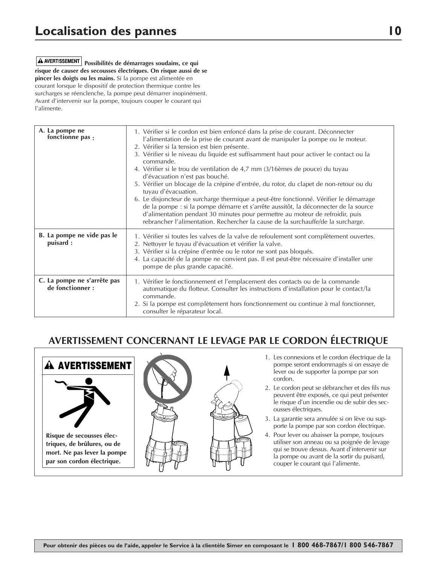**Possibilités de démarrages soudains, ce qui risque de causer des secousses électriques. On risque aussi de se pincer les doigts ou les mains.** Si la pompe est alimentée en courant lorsque le dispositif de protection thermique contre les surcharges se réenclenche, la pompe peut démarrer inopinément. Avant d'intervenir sur la pompe, toujours couper le courant qui l'alimente.

| A. La pompe ne<br>fonctionne pas:               | 1. Vérifier si le cordon est bien enfoncé dans la prise de courant. Déconnecter<br>l'alimentation de la prise de courant avant de manipuler la pompe ou le moteur.<br>2. Vérifier si la tension est bien présente.<br>3. Vérifier si le niveau du liquide est suffisamment haut pour activer le contact ou la<br>commande.<br>4. Vérifier si le trou de ventilation de 4,7 mm (3/16èmes de pouce) du tuyau<br>d'évacuation n'est pas bouché.<br>5. Vérifier un blocage de la crépine d'entrée, du rotor, du clapet de non-retour ou du<br>tuyau d'évacuation.<br>6. Le disjoncteur de surcharge thermique a peut-être fonctionné. Vérifier le démarrage<br>de la pompe : si la pompe démarre et s'arrête aussitôt, la déconnecter de la source<br>d'alimentation pendant 30 minutes pour permettre au moteur de refroidir, puis<br>rebrancher l'alimentation. Rechercher la cause de la surchauffe/de la surcharge. |
|-------------------------------------------------|---------------------------------------------------------------------------------------------------------------------------------------------------------------------------------------------------------------------------------------------------------------------------------------------------------------------------------------------------------------------------------------------------------------------------------------------------------------------------------------------------------------------------------------------------------------------------------------------------------------------------------------------------------------------------------------------------------------------------------------------------------------------------------------------------------------------------------------------------------------------------------------------------------------------|
| B. La pompe ne vide pas le<br>puisard:          | 1. Vérifier si toutes les valves de la valve de refoulement sont complètement ouvertes.<br>2. Nettoyer le tuyau d'évacuation et vérifier la valve.<br>3. Vérifier si la crépine d'entrée ou le rotor ne sont pas bloqués.<br>4. La capacité de la pompe ne convient pas. Il est peut-être nécessaire d'installer une<br>pompe de plus grande capacité.                                                                                                                                                                                                                                                                                                                                                                                                                                                                                                                                                              |
| C. La pompe ne s'arrête pas<br>de fonctionner : | 1. Vérifier le fonctionnement et l'emplacement des contacts ou de la commande<br>automatique du flotteur. Consulter les instructions d'installation pour le contact/la<br>commande.<br>2. Si la pompe est complètement hors fonctionnement ou continue à mal fonctionner,<br>consulter le réparateur local.                                                                                                                                                                                                                                                                                                                                                                                                                                                                                                                                                                                                         |

# **AVERTISSEMENT CONCERNANT LE LEVAGE PAR LE CORDON ÉLECTRIQUE**



- 1. Les connexions et le cordon électrique de la pompe seront endommagés si on essaye de lever ou de supporter la pompe par son cordon.
- 2. Le cordon peut se débrancher et des fils nus peuvent être exposés, ce qui peut présenter le risque d'un incendie ou de subir des secousses électriques.
- 3. La garantie sera annulée si on lève ou supporte la pompe par son cordon électrique.
- 4. Pour lever ou abaisser la pompe, toujours utiliser son anneau ou sa poignée de levage qui se trouve dessus. Avant d'intervenir sur la pompe ou avant de la sortir du puisard, couper le courant qui l'alimente.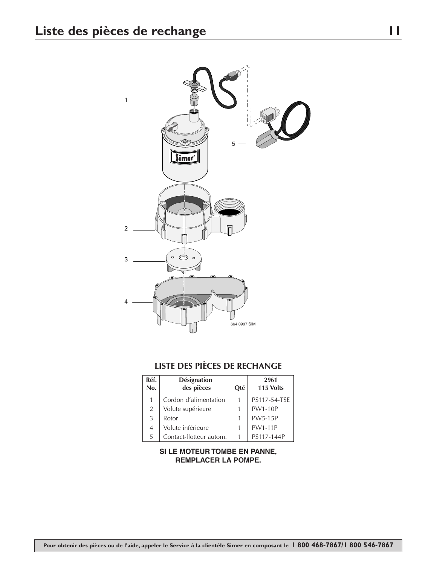

# **LISTE DES PIÈCES DE RECHANGE**

| Réf.<br>No.    | <b>Désignation</b><br>des pièces | Oté | 2961<br>115 Volts |
|----------------|----------------------------------|-----|-------------------|
| 1              | Cordon d'alimentation            |     | PS117-54-TSE      |
| 2              | Volute supérieure                |     | <b>PW1-10P</b>    |
| 3              | Rotor                            |     | <b>PW5-15P</b>    |
| $\overline{4}$ | Volute inférieure                |     | <b>PW1-11P</b>    |
| 5              | Contact-flotteur autom.          |     | PS117-144P        |

### **SI LE MOTEUR TOMBE EN PANNE, REMPLACER LA POMPE.**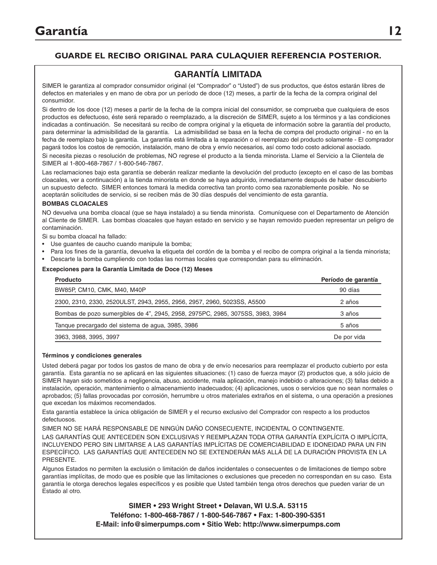### **GUARDE EL RECIBO ORIGINAL PARA CULAQUIER REFERENCIA POSTERIOR.**

### **GARANTÍA LIMITADA**

SIMER le garantiza al comprador consumidor original (el "Comprador" o "Usted") de sus productos, que éstos estarán libres de defectos en materiales y en mano de obra por un período de doce (12) meses, a partir de la fecha de la compra original del consumidor.

Si dentro de los doce (12) meses a partir de la fecha de la compra inicial del consumidor, se comprueba que cualquiera de esos productos es defectuoso, éste será reparado o reemplazado, a la discreción de SIMER, sujeto a los términos y a las condiciones indicadas a continuación. Se necesitará su recibo de compra original y la etiqueta de información sobre la garantía del producto, para determinar la admisibilidad de la garantía. La admisibilidad se basa en la fecha de compra del producto original - no en la fecha de reemplazo bajo la garantía. La garantía está limitada a la reparación o el reemplazo del producto solamente - El comprador pagará todos los costos de remoción, instalación, mano de obra y envío necesarios, así como todo costo adicional asociado.

Si necesita piezas o resolución de problemas, NO regrese el producto a la tienda minorista. Llame el Servicio a la Clientela de SIMER al 1-800-468-7867 / 1-800-546-7867.

Las reclamaciones bajo esta garantía se deberán realizar mediante la devolución del producto (excepto en el caso de las bombas cloacales, ver a continuación) a la tienda minorista en donde se haya adquirido, inmediatamente después de haber descubierto un supuesto defecto. SIMER entonces tomará la medida correctiva tan pronto como sea razonablemente posible. No se aceptarán solicitudes de servicio, si se reciben más de 30 días después del vencimiento de esta garantía.

### **BOMBAS CLOACALES**

NO devuelva una bomba cloacal (que se haya instalado) a su tienda minorista. Comuníquese con el Departamento de Atención al Cliente de SIMER. Las bombas cloacales que hayan estado en servicio y se hayan removido pueden representar un peligro de contaminación.

Si su bomba cloacal ha fallado:

- Use guantes de caucho cuando manipule la bomba;
- Para los fines de la garantía, devuelva la etiqueta del cordón de la bomba y el recibo de compra original a la tienda minorista;
- Descarte la bomba cumpliendo con todas las normas locales que correspondan para su eliminación.

### **Excepciones para la Garantía Limitada de Doce (12) Meses**

| <b>Producto</b>                                                                | Período de garantía |
|--------------------------------------------------------------------------------|---------------------|
| BW85P, CM10, CMK, M40, M40P                                                    | 90 días             |
| 2300, 2310, 2330, 2520ULST, 2943, 2955, 2956, 2957, 2960, 5023SS, A5500        | 2 años              |
| Bombas de pozo sumergibles de 4", 2945, 2958, 2975PC, 2985, 3075SS, 3983, 3984 | 3 años              |
| Tanque precargado del sistema de agua, 3985, 3986                              | 5 años              |
| 3963, 3988, 3995, 3997                                                         | De por vida         |

### **Términos y condiciones generales**

Usted deberá pagar por todos los gastos de mano de obra y de envío necesarios para reemplazar el producto cubierto por esta garantía. Esta garantía no se aplicará en las siguientes situaciones: (1) caso de fuerza mayor (2) productos que, a sólo juicio de SIMER hayan sido sometidos a negligencia, abuso, accidente, mala aplicación, manejo indebido o alteraciones; (3) fallas debido a instalación, operación, mantenimiento o almacenamiento inadecuados; (4) aplicaciones, usos o servicios que no sean normales o aprobados; (5) fallas provocadas por corrosión, herrumbre u otros materiales extraños en el sistema, o una operación a presiones que excedan los máximos recomendados.

Esta garantía establece la única obligación de SIMER y el recurso exclusivo del Comprador con respecto a los productos defectuosos.

SIMER NO SE HARÁ RESPONSABLE DE NINGÚN DAÑO CONSECUENTE, INCIDENTAL O CONTINGENTE.

LAS GARANTÍAS QUE ANTECEDEN SON EXCLUSIVAS Y REEMPLAZAN TODA OTRA GARANTÍA EXPLÍCITA O IMPLÍCITA, INCLUYENDO PERO SIN LIMITARSE A LAS GARANTÍAS IMPLÍCITAS DE COMERCIABILIDAD E IDONEIDAD PARA UN FIN ESPECÍFICO. LAS GARANTÍAS QUE ANTECEDEN NO SE EXTENDERÁN MÁS ALLÁ DE LA DURACIÓN PROVISTA EN LA PRESENTE.

Algunos Estados no permiten la exclusión o limitación de daños incidentales o consecuentes o de limitaciones de tiempo sobre garantías implícitas, de modo que es posible que las limitaciones o exclusiones que preceden no correspondan en su caso. Esta garantía le otorga derechos legales específicos y es posible que Usted también tenga otros derechos que pueden variar de un Estado al otro.

> **SIMER • 293 Wright Street • Delavan, WI U.S.A. 53115 Teléfono: 1-800-468-7867 / 1-800-546-7867 • Fax: 1-800-390-5351 E-Mail: info@simerpumps.com • Sitio Web: http://www.simerpumps.com**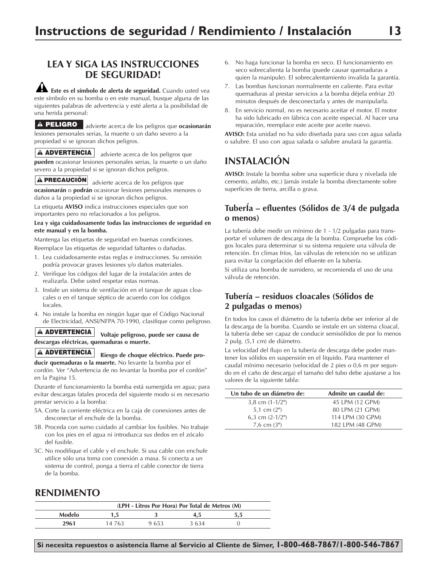# **LEA Y SIGA LAS INSTRUCCIONES DE SEGURIDAD!**

**Este es el símbolo de alerta de seguridad.** Cuando usted vea este símbolo en su bomba o en este manual, busque alguna de las siguientes palabras de advertencia y esté alerta a la posibilidad de una herida personal:

A PELIGRO advierte acerca de los peligros que ocasionarán lesiones personales serias, la muerte o un daño severo a la propiedad si se ignoran dichos peligros.

#### **ADVERTENCIA**

advierte acerca de los peligros que **pueden** ocasionar lesiones personales serias, la muerte o un daño severo a la propiedad si se ignoran dichos peligros.

**PRECAUCIÓN** advierte acerca de los peligros que

**ocasionarán** o **podrán** ocasionar lesiones personales menores o daños a la propiedad si se ignoran dichos peligros.

La etiqueta **AVISO** indica instrucciones especiales que son importantes pero no relacionados a los peligros.

#### **Lea y siga cuidadosamente todas las instrucciones de seguridad en este manual y en la bomba.**

Mantenga las etiquetas de seguridad en buenas condiciones. Reemplace las etiquetas de seguridad faltantes o dañadas.

- 1. Lea cuidadosamente estas reglas e instrucciones. Su omisión podría provocar graves lesiones y/o daños materiales.
- 2. Verifique los códigos del lugar de la instalación antes de realizarla. Debe usted respetar estas normas.
- 3. Instale un sistema de ventilación en el tanque de aguas cloacales o en el tanque séptico de acuerdo con los códigos locales.
- 4. No instale la bomba en ningún lugar que el Código Nacional de Electricidad, ANSI/NFPA 70-1990, clasifique como peligroso.

**ADVERTENCIA** Voltaje peligroso, puede ser causa de **descargas eléctricas, quemaduras o muerte.**

### **Riesgo de choque eléctrico. Puede pro-ADVERTENCIA**

**ducir quemaduras o la muerte.** No levante la bomba por el cordón. Ver "Advertencia de no levantar la bomba por el cordón" en la Pagina 15.

Durante el funcionamiento la bomba está sumergida en agua; para evitar descargas fatales proceda del siguiente modo si es necesario prestar servicio a la bomba:

- 5A. Corte la corriente eléctrica en la caja de conexiones antes de desconectar el enchufe de la bomba.
- 5B. Proceda con sumo cuidado al cambiar los fusibles. No trabaje con los pies en el agua ni introduzca sus dedos en el zócalo del fusible.
- 5C. No modifique el cable y el enchufe. Si usa cable con enchufe utilice sólo una toma con conexión a masa. Si conecta a un sistema de control, ponga a tierra el cable conector de tierra de la bomba.
- 6. No haga funcionar la bomba en seco. El funcionamiento en seco sobrecalienta la bomba (puede causar quemaduras a quien la manipule). El sobrecalentamiento invalida la garantía.
- 7. Las bombas funcionan normalmente en caliente. Para evitar quemaduras al prestar servicios a la bomba déjela enfriar 20 minutos después de desconectarla y antes de manipularla.
- 8. En servicio normal, no es necesario aceitar el motor. El motor ha sido lubricado en fábrica con aceite especial. Al hacer una reparación, reemplace este aceite por aceite nuevo.

**AVISO:** Esta unidad no ha sido diseñada para uso con agua salada o salubre. El uso con agua salada o salubre anulará la garantía.

# **INSTALACIÓN**

**AVISO:** Instale la bomba sobre una superficie dura y nivelada (de cemento, asfalto, etc.) Jamás instale la bomba directamente sobre superficies de tierra, arcilla o grava.

### **TuberÍa – efluentes (Sólidos de 3/4 de pulgada o menos)**

La tubería debe medir un mínimo de 1 - 1/2 pulgadas para transportar el volumen de descarga de la bomba. Compruebe los códigos locales para determinar si su sistema requiere una válvula de retención. En climas fríos, las válvulas de retención no se utilizan para evitar la congelación del efluente en la tubería.

Si utiliza una bomba de sumidero, se recomienda el uso de una válvula de retención.

### **Tubería – residuos cloacales (Sólidos de 2 pulgadas o menos)**

En todos los casos el diámetro de la tubería debe ser inferior al de la descarga de la bomba. Cuando se instale en un sistema cloacal, la tubería debe ser capaz de conducir semisólidos de por lo menos 2 pulg. (5,1 cm) de diámetro.

La velocidad del flujo en la tubería de descarga debe poder mantener los sólidos en suspensión en el líquido. Para mantener el caudal mínimo necesario (velocidad de 2 pies o 0,6 m por segundo en el caño de descarga) el tamaño del tubo debe ajustarse a los valores de la siguiente tabla:

| Un tubo de un diámetro de: | Admite un caudal de: |
|----------------------------|----------------------|
| 3,8 cm $(1-1/2)$           | 45 LPM (12 GPM)      |
| 5,1 cm $(2n)$              | 80 LPM (21 GPM)      |
| 6,3 cm $(2-1/2)$           | 114 LPM (30 GPM)     |
| 7,6 cm $(3^n)$             | 182 LPM (48 GPM)     |

# **RENDIMENTO**

|        | (LPH - Litros Por Hora) Por Total de Metros (M) |      |       |  |  |
|--------|-------------------------------------------------|------|-------|--|--|
| Modelo |                                                 |      |       |  |  |
| 2961   | 14 763                                          | 9653 | 3 634 |  |  |

**Si necesita repuestos o asistencia llame al Servicio al Cliente de Simer, 1-800-468-7867/1-800-546-7867**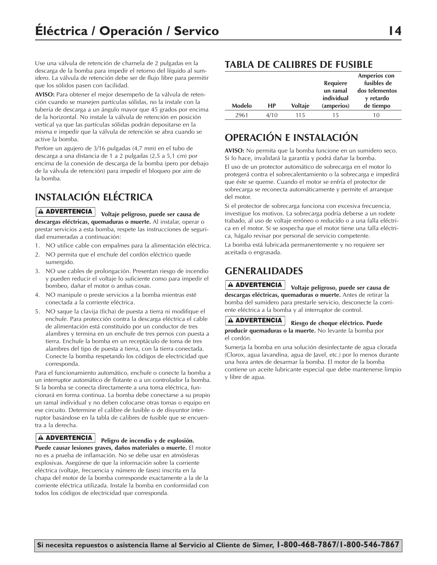Use una válvula de retención de charnela de 2 pulgadas en la descarga de la bomba para impedir el retorno del líquido al sumidero. La válvula de retención debe ser de flujo libre para permitir que los sólidos pasen con facilidad.

**AVISO:** Para obtener el mejor desempeño de la válvula de retención cuando se manejen partículas sólidas, no la instale con la tubería de descarga a un ángulo mayor que 45 grados por encima de la horizontal. No instale la válvula de retención en posición vertical ya que las partículas sólidas podrán depositarse en la misma e impedir que la válvula de retención se abra cuando se active la bomba.

Perfore un agujero de 3/16 pulgadas (4,7 mm) en el tubo de descarga a una distancia de 1 a 2 pulgadas (2,5 a 5,1 cm) por encima de la conexión de descarga de la bomba (pero por debajo de la válvula de retención) para impedir el bloqueo por aire de la bomba.

# **INSTALACIÓN ELÉCTRICA**

**Voltaje peligroso, puede ser causa de ADVERTENCIA descargas eléctricas, quemaduras o muerte.** Al instalar, operar o prestar servicios a esta bomba, respete las instrucciones de seguridad enumeradas a continuación:

- 1. NO utilice cable con empalmes para la alimentación eléctrica.
- 2. NO permita que el enchufe del cordón eléctrico quede sumergido.
- 3. NO use cables de prolongación. Presentan riesgo de incendio y pueden reducir el voltaje lo suficiente como para impedir el bombeo, dañar el motor o ambas cosas.
- 4. NO manipule o preste servicios a la bomba mientras esté conectada a la corriente eléctrica.
- 5. NO saque la clavija (ficha) de puesta a tierra ni modifique el enchufe. Para protección contra la descarga eléctrica el cable de alimentación está constituido por un conductor de tres alambres y termina en un enchufe de tres pernos con puesta a tierra. Enchufe la bomba en un receptáculo de toma de tres alambres del tipo de puesta a tierra, con la tierra conectada. Conecte la bomba respetando los códigos de electricidad que corresponda.

Para el funcionamiento automático, enchufe o conecte la bomba a un interruptor automático de flotante o a un controlador la bomba. Si la bomba se conecta directamente a una toma eléctrica, funcionará en forma continua. La bomba debe conectarse a su propio un ramal individual y no deben colocarse otras tomas o equipo en ese circuito. Determine el calibre de fusible o de disyuntor interruptor basándose en la tabla de calibres de fusible que se encuentra a la derecha.

### **A ADVERTENCIA**

**Peligro de incendio y de explosión.**

**Puede causar lesiones graves, daños materiales o muerte.** El motor no es a prueba de inflamación. No se debe usar en atmósferas explosivas. Asegúrese de que la información sobre la corriente eléctrica (voltaje, frecuencia y número de fases) inscrita en la chapa del motor de la bomba corresponde exactamente a la de la corriente eléctrica utilizada. Instale la bomba en conformidad con todos los códigos de electricidad que corresponda.

# **TABLA DE CALIBRES DE FUSIBLE**

|               |      |         |                 | <b>Amperios con</b> |
|---------------|------|---------|-----------------|---------------------|
|               |      |         | <b>Requiere</b> | fusibles de         |
|               |      |         | un ramal        | dos telementos      |
|               |      |         | individual      | y retardo           |
| <b>Modelo</b> | HP   | Voltaje | (amperios)      | de tiempo           |
| 2961          | 4/10 | 115     | 15              | 10                  |

# **OPERACIÓN E INSTALACIÓN**

**AVISO:** No permita que la bomba funcione en un sumidero seco. Si lo hace, invalidará la garantía y podrá dañar la bomba.

El uso de un protector automático de sobrecarga en el motor lo protegerá contra el sobrecalentamiento o la sobrecarga e impedirá que éste se queme. Cuando el motor se enfría el protector de sobrecarga se reconecta automáticamente y permite el arranque del motor.

Si el protector de sobrecarga funciona con excesiva frecuencia, investigue los motivos. La sobrecarga podría deberse a un rodete trabado, al uso de voltaje erróneo o reducido o a una falla eléctrica en el motor. Si se sospecha que el motor tiene una falla eléctrica, hágalo revisar por personal de servicio competente.

La bomba está lubricada permanentemente y no requiere ser aceitada o engrasada.

# **GENERALIDADES**

**ADVERTENCIA** Voltaje peligroso, puede ser causa de **descargas eléctricas, quemaduras o muerte.** Antes de retirar la bomba del sumidero para prestarle servicio, desconecte la corriente eléctrica a la bomba y al interruptor de control.

#### **Riesgo de choque eléctrico. Puede producir quemaduras o la muerte.** No levante la bomba por el cordón. **A ADVERTENCIA**

Sumerja la bomba en una solución desinfectante de agua clorada (Clorox, agua lavandina, agua de Javel, etc.) por lo menos durante una hora antes de desarmar la bomba. El motor de la bomba contiene un aceite lubricante especial que debe mantenerse limpio y libre de agua.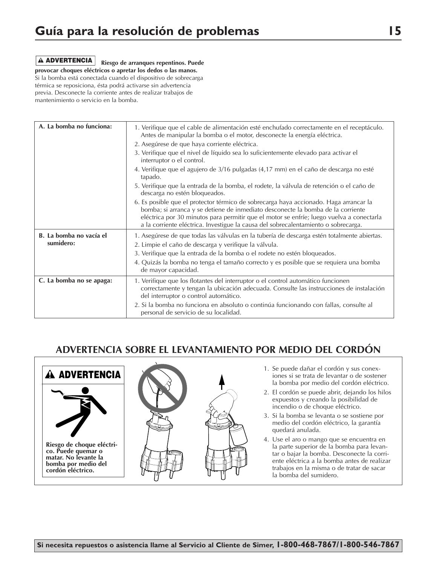**Riesgo de arranques repentinos. Puede**

### **ADVERTENCIA**

**provocar choques eléctricos o apretar los dedos o las manos.** Si la bomba está conectada cuando el dispositivo de sobrecarga térmica se reposiciona, ésta podrá activarse sin advertencia previa. Desconecte la corriente antes de realizar trabajos de mantenimiento o servicio en la bomba.

| A. La bomba no funciona:             | 1. Verifique que el cable de alimentación esté enchufado correctamente en el receptáculo.<br>Antes de manipular la bomba o el motor, desconecte la energía eléctrica.<br>2. Asegúrese de que haya corriente eléctrica.<br>3. Verifique que el nivel de líquido sea lo suficientemente elevado para activar el<br>interruptor o el control.<br>4. Verifique que el agujero de 3/16 pulgadas (4,17 mm) en el caño de descarga no esté<br>tapado.<br>5. Verifique que la entrada de la bomba, el rodete, la válvula de retención o el caño de<br>descarga no estén bloqueados.<br>6. Es posible que el protector térmico de sobrecarga haya accionado. Haga arrancar la<br>bomba; si arranca y se detiene de inmediato desconecte la bomba de la corriente<br>eléctrica por 30 minutos para permitir que el motor se enfríe; luego vuelva a conectarla<br>a la corriente eléctrica. Investigue la causa del sobrecalentamiento o sobrecarga. |
|--------------------------------------|-------------------------------------------------------------------------------------------------------------------------------------------------------------------------------------------------------------------------------------------------------------------------------------------------------------------------------------------------------------------------------------------------------------------------------------------------------------------------------------------------------------------------------------------------------------------------------------------------------------------------------------------------------------------------------------------------------------------------------------------------------------------------------------------------------------------------------------------------------------------------------------------------------------------------------------------|
| B. La bomba no vacía el<br>sumidero: | 1. Asegúrese de que todas las válvulas en la tubería de descarga estén totalmente abiertas.<br>2. Limpie el caño de descarga y verifique la válvula.<br>3. Verifique que la entrada de la bomba o el rodete no estén bloqueados.<br>4. Quizás la bomba no tenga el tamaño correcto y es posible que se requiera una bomba<br>de mayor capacidad.                                                                                                                                                                                                                                                                                                                                                                                                                                                                                                                                                                                          |
| C. La bomba no se apaga:             | 1. Verifique que los flotantes del interruptor o el control automático funcionen<br>correctamente y tengan la ubicación adecuada. Consulte las instrucciones de instalación<br>del interruptor o control automático.<br>2. Si la bomba no funciona en absoluto o continúa funcionando con fallas, consulte al<br>personal de servicio de su localidad.                                                                                                                                                                                                                                                                                                                                                                                                                                                                                                                                                                                    |

# **ADVERTENCIA SOBRE EL LEVANTAMIENTO POR MEDIO DEL CORDÓN**



- 1. Se puede dañar el cordón y sus conexiones si se trata de levantar o de sostener la bomba por medio del cordón eléctrico.
- 2. El cordón se puede abrir, dejando los hilos expuestos y creando la posibilidad de incendio o de choque eléctrico.
- 3. Si la bomba se levanta o se sostiene por medio del cordón eléctrico, la garantía quedará anulada.
- 4. Use el aro o mango que se encuentra en la parte superior de la bomba para levantar o bajar la bomba. Desconecte la corriente eléctrica a la bomba antes de realizar trabajos en la misma o de tratar de sacar la bomba del sumidero.